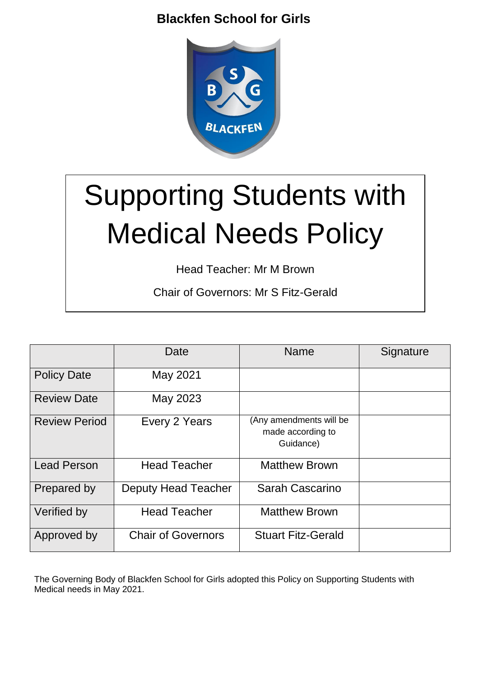

# Supporting Students with Medical Needs Policy

Head Teacher: Mr M Brown

Chair of Governors: Mr S Fitz-Gerald

|                      | Date                       | <b>Name</b>                                               | Signature |
|----------------------|----------------------------|-----------------------------------------------------------|-----------|
| <b>Policy Date</b>   | May 2021                   |                                                           |           |
| <b>Review Date</b>   | May 2023                   |                                                           |           |
| <b>Review Period</b> | Every 2 Years              | (Any amendments will be<br>made according to<br>Guidance) |           |
| <b>Lead Person</b>   | <b>Head Teacher</b>        | <b>Matthew Brown</b>                                      |           |
| Prepared by          | <b>Deputy Head Teacher</b> | Sarah Cascarino                                           |           |
| Verified by          | <b>Head Teacher</b>        | <b>Matthew Brown</b>                                      |           |
| Approved by          | <b>Chair of Governors</b>  | <b>Stuart Fitz-Gerald</b>                                 |           |

The Governing Body of Blackfen School for Girls adopted this Policy on Supporting Students with Medical needs in May 2021.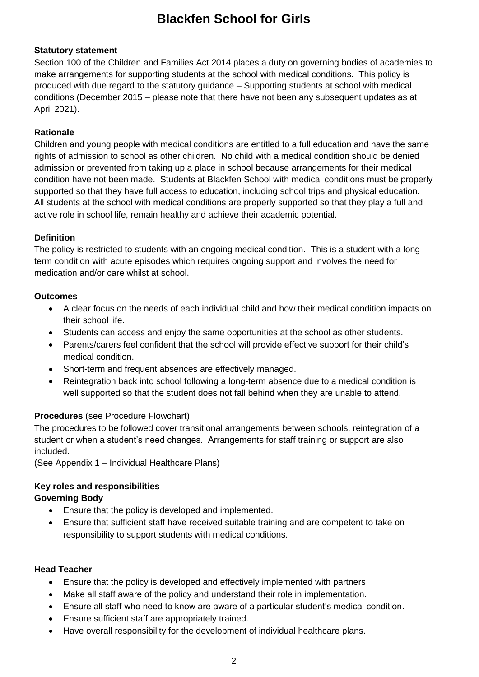### **Statutory statement**

Section 100 of the Children and Families Act 2014 places a duty on governing bodies of academies to make arrangements for supporting students at the school with medical conditions. This policy is produced with due regard to the statutory guidance – Supporting students at school with medical conditions (December 2015 – please note that there have not been any subsequent updates as at April 2021).

#### **Rationale**

Children and young people with medical conditions are entitled to a full education and have the same rights of admission to school as other children. No child with a medical condition should be denied admission or prevented from taking up a place in school because arrangements for their medical condition have not been made. Students at Blackfen School with medical conditions must be properly supported so that they have full access to education, including school trips and physical education. All students at the school with medical conditions are properly supported so that they play a full and active role in school life, remain healthy and achieve their academic potential.

#### **Definition**

The policy is restricted to students with an ongoing medical condition. This is a student with a longterm condition with acute episodes which requires ongoing support and involves the need for medication and/or care whilst at school.

#### **Outcomes**

- A clear focus on the needs of each individual child and how their medical condition impacts on their school life.
- Students can access and enjoy the same opportunities at the school as other students.
- Parents/carers feel confident that the school will provide effective support for their child's medical condition.
- Short-term and frequent absences are effectively managed.
- Reintegration back into school following a long-term absence due to a medical condition is well supported so that the student does not fall behind when they are unable to attend.

### **Procedures** (see Procedure Flowchart)

The procedures to be followed cover transitional arrangements between schools, reintegration of a student or when a student's need changes. Arrangements for staff training or support are also included.

(See Appendix 1 – Individual Healthcare Plans)

### **Key roles and responsibilities**

### **Governing Body**

- Ensure that the policy is developed and implemented.
- Ensure that sufficient staff have received suitable training and are competent to take on responsibility to support students with medical conditions.

### **Head Teacher**

- Ensure that the policy is developed and effectively implemented with partners.
- Make all staff aware of the policy and understand their role in implementation.
- Ensure all staff who need to know are aware of a particular student's medical condition.
- Ensure sufficient staff are appropriately trained.
- Have overall responsibility for the development of individual healthcare plans.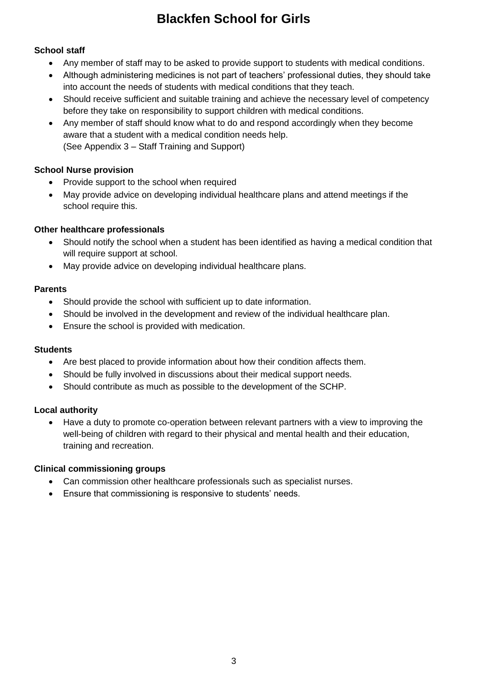### **School staff**

- Any member of staff may to be asked to provide support to students with medical conditions.
- Although administering medicines is not part of teachers' professional duties, they should take into account the needs of students with medical conditions that they teach.
- Should receive sufficient and suitable training and achieve the necessary level of competency before they take on responsibility to support children with medical conditions.
- Any member of staff should know what to do and respond accordingly when they become aware that a student with a medical condition needs help. (See Appendix 3 – Staff Training and Support)

### **School Nurse provision**

- Provide support to the school when required
- May provide advice on developing individual healthcare plans and attend meetings if the school require this.

### **Other healthcare professionals**

- Should notify the school when a student has been identified as having a medical condition that will require support at school.
- May provide advice on developing individual healthcare plans.

### **Parents**

- Should provide the school with sufficient up to date information.
- Should be involved in the development and review of the individual healthcare plan.
- Ensure the school is provided with medication.

### **Students**

- Are best placed to provide information about how their condition affects them.
- Should be fully involved in discussions about their medical support needs.
- Should contribute as much as possible to the development of the SCHP.

### **Local authority**

 Have a duty to promote co-operation between relevant partners with a view to improving the well-being of children with regard to their physical and mental health and their education, training and recreation.

### **Clinical commissioning groups**

- Can commission other healthcare professionals such as specialist nurses.
- Ensure that commissioning is responsive to students' needs.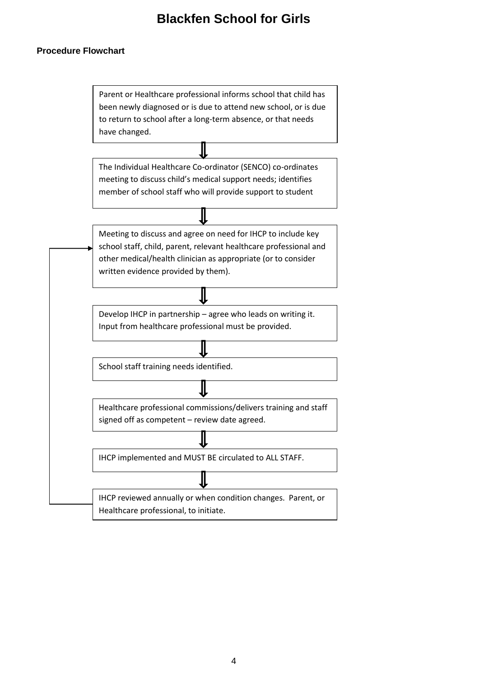#### **Procedure Flowchart**

Parent or Healthcare professional informs school that child has been newly diagnosed or is due to attend new school, or is due to return to school after a long-term absence, or that needs have changed. The Individual Healthcare Co-ordinator (SENCO) co-ordinates meeting to discuss child's medical support needs; identifies member of school staff who will provide support to student Meeting to discuss and agree on need for IHCP to include key school staff, child, parent, relevant healthcare professional and other medical/health clinician as appropriate (or to consider written evidence provided by them). Develop IHCP in partnership – agree who leads on writing it. Input from healthcare professional must be provided. School staff training needs identified. Healthcare professional commissions/delivers training and staff signed off as competent – review date agreed. IHCP implemented and MUST BE circulated to ALL STAFF. IHCP reviewed annually or when condition changes. Parent, or Healthcare professional, to initiate.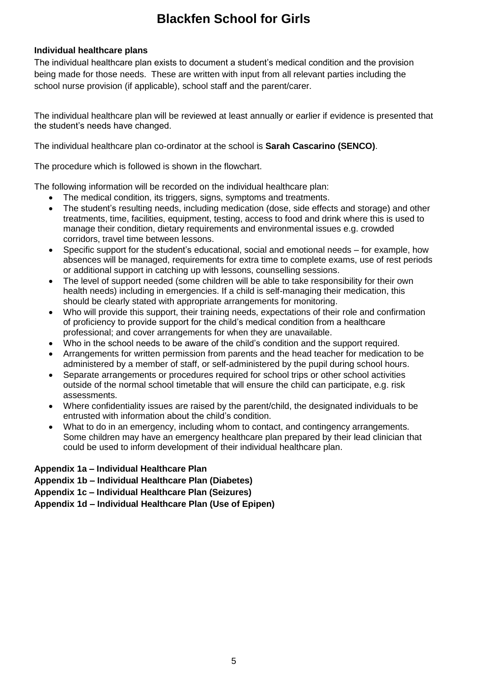### **Individual healthcare plans**

The individual healthcare plan exists to document a student's medical condition and the provision being made for those needs. These are written with input from all relevant parties including the school nurse provision (if applicable), school staff and the parent/carer.

The individual healthcare plan will be reviewed at least annually or earlier if evidence is presented that the student's needs have changed.

The individual healthcare plan co-ordinator at the school is **Sarah Cascarino (SENCO)**.

The procedure which is followed is shown in the flowchart.

The following information will be recorded on the individual healthcare plan:

- The medical condition, its triggers, signs, symptoms and treatments.
- The student's resulting needs, including medication (dose, side effects and storage) and other treatments, time, facilities, equipment, testing, access to food and drink where this is used to manage their condition, dietary requirements and environmental issues e.g. crowded corridors, travel time between lessons.
- Specific support for the student's educational, social and emotional needs for example, how absences will be managed, requirements for extra time to complete exams, use of rest periods or additional support in catching up with lessons, counselling sessions.
- The level of support needed (some children will be able to take responsibility for their own health needs) including in emergencies. If a child is self-managing their medication, this should be clearly stated with appropriate arrangements for monitoring.
- Who will provide this support, their training needs, expectations of their role and confirmation of proficiency to provide support for the child's medical condition from a healthcare professional; and cover arrangements for when they are unavailable.
- Who in the school needs to be aware of the child's condition and the support required.
- Arrangements for written permission from parents and the head teacher for medication to be administered by a member of staff, or self-administered by the pupil during school hours.
- Separate arrangements or procedures required for school trips or other school activities outside of the normal school timetable that will ensure the child can participate, e.g. risk assessments.
- Where confidentiality issues are raised by the parent/child, the designated individuals to be entrusted with information about the child's condition.
- What to do in an emergency, including whom to contact, and contingency arrangements. Some children may have an emergency healthcare plan prepared by their lead clinician that could be used to inform development of their individual healthcare plan.

**Appendix 1a – Individual Healthcare Plan**

**Appendix 1b – Individual Healthcare Plan (Diabetes)**

**Appendix 1c – Individual Healthcare Plan (Seizures)**

**Appendix 1d – Individual Healthcare Plan (Use of Epipen)**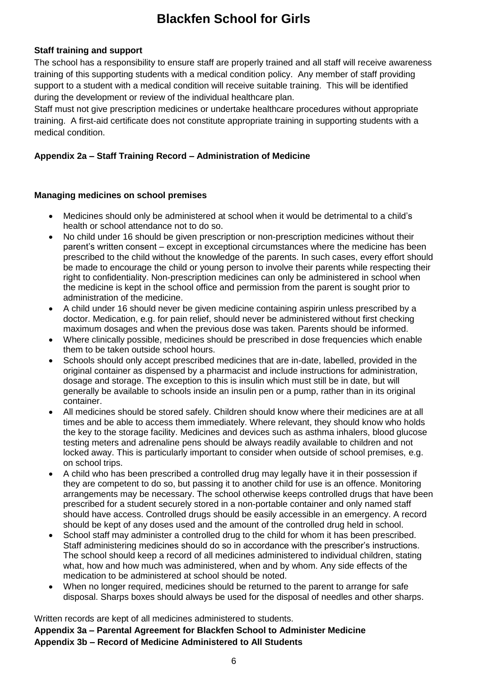### **Staff training and support**

The school has a responsibility to ensure staff are properly trained and all staff will receive awareness training of this supporting students with a medical condition policy. Any member of staff providing support to a student with a medical condition will receive suitable training. This will be identified during the development or review of the individual healthcare plan.

Staff must not give prescription medicines or undertake healthcare procedures without appropriate training. A first-aid certificate does not constitute appropriate training in supporting students with a medical condition.

### **Appendix 2a – Staff Training Record – Administration of Medicine**

#### **Managing medicines on school premises**

- Medicines should only be administered at school when it would be detrimental to a child's health or school attendance not to do so.
- No child under 16 should be given prescription or non-prescription medicines without their parent's written consent – except in exceptional circumstances where the medicine has been prescribed to the child without the knowledge of the parents. In such cases, every effort should be made to encourage the child or young person to involve their parents while respecting their right to confidentiality. Non-prescription medicines can only be administered in school when the medicine is kept in the school office and permission from the parent is sought prior to administration of the medicine.
- A child under 16 should never be given medicine containing aspirin unless prescribed by a doctor. Medication, e.g. for pain relief, should never be administered without first checking maximum dosages and when the previous dose was taken. Parents should be informed.
- Where clinically possible, medicines should be prescribed in dose frequencies which enable them to be taken outside school hours.
- Schools should only accept prescribed medicines that are in-date, labelled, provided in the original container as dispensed by a pharmacist and include instructions for administration, dosage and storage. The exception to this is insulin which must still be in date, but will generally be available to schools inside an insulin pen or a pump, rather than in its original container.
- All medicines should be stored safely. Children should know where their medicines are at all times and be able to access them immediately. Where relevant, they should know who holds the key to the storage facility. Medicines and devices such as asthma inhalers, blood glucose testing meters and adrenaline pens should be always readily available to children and not locked away. This is particularly important to consider when outside of school premises, e.g. on school trips.
- A child who has been prescribed a controlled drug may legally have it in their possession if they are competent to do so, but passing it to another child for use is an offence. Monitoring arrangements may be necessary. The school otherwise keeps controlled drugs that have been prescribed for a student securely stored in a non-portable container and only named staff should have access. Controlled drugs should be easily accessible in an emergency. A record should be kept of any doses used and the amount of the controlled drug held in school.
- School staff may administer a controlled drug to the child for whom it has been prescribed. Staff administering medicines should do so in accordance with the prescriber's instructions. The school should keep a record of all medicines administered to individual children, stating what, how and how much was administered, when and by whom. Any side effects of the medication to be administered at school should be noted.
- When no longer required, medicines should be returned to the parent to arrange for safe disposal. Sharps boxes should always be used for the disposal of needles and other sharps.

Written records are kept of all medicines administered to students.

**Appendix 3a – Parental Agreement for Blackfen School to Administer Medicine Appendix 3b – Record of Medicine Administered to All Students**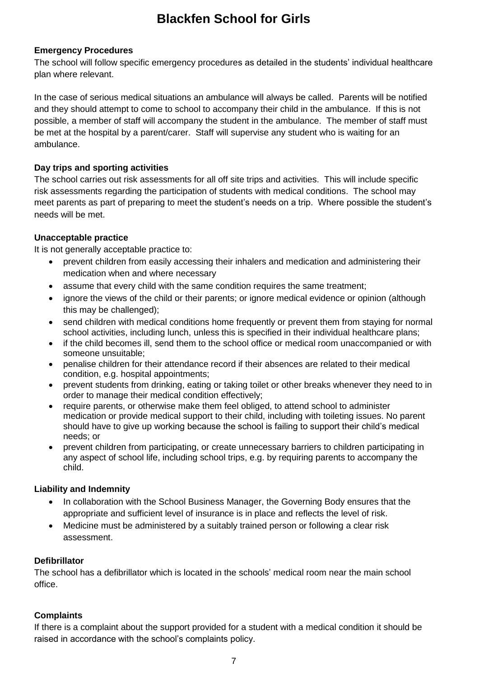#### **Emergency Procedures**

The school will follow specific emergency procedures as detailed in the students' individual healthcare plan where relevant.

In the case of serious medical situations an ambulance will always be called. Parents will be notified and they should attempt to come to school to accompany their child in the ambulance. If this is not possible, a member of staff will accompany the student in the ambulance. The member of staff must be met at the hospital by a parent/carer. Staff will supervise any student who is waiting for an ambulance.

### **Day trips and sporting activities**

The school carries out risk assessments for all off site trips and activities. This will include specific risk assessments regarding the participation of students with medical conditions. The school may meet parents as part of preparing to meet the student's needs on a trip. Where possible the student's needs will be met.

### **Unacceptable practice**

It is not generally acceptable practice to:

- prevent children from easily accessing their inhalers and medication and administering their medication when and where necessary
- assume that every child with the same condition requires the same treatment;
- ignore the views of the child or their parents; or ignore medical evidence or opinion (although this may be challenged);
- send children with medical conditions home frequently or prevent them from staying for normal school activities, including lunch, unless this is specified in their individual healthcare plans;
- if the child becomes ill, send them to the school office or medical room unaccompanied or with someone unsuitable;
- penalise children for their attendance record if their absences are related to their medical condition, e.g. hospital appointments;
- prevent students from drinking, eating or taking toilet or other breaks whenever they need to in order to manage their medical condition effectively;
- require parents, or otherwise make them feel obliged, to attend school to administer medication or provide medical support to their child, including with toileting issues. No parent should have to give up working because the school is failing to support their child's medical needs; or
- prevent children from participating, or create unnecessary barriers to children participating in any aspect of school life, including school trips, e.g. by requiring parents to accompany the child.

### **Liability and Indemnity**

- In collaboration with the School Business Manager, the Governing Body ensures that the appropriate and sufficient level of insurance is in place and reflects the level of risk.
- Medicine must be administered by a suitably trained person or following a clear risk assessment.

### **Defibrillator**

The school has a defibrillator which is located in the schools' medical room near the main school office.

#### **Complaints**

If there is a complaint about the support provided for a student with a medical condition it should be raised in accordance with the school's complaints policy.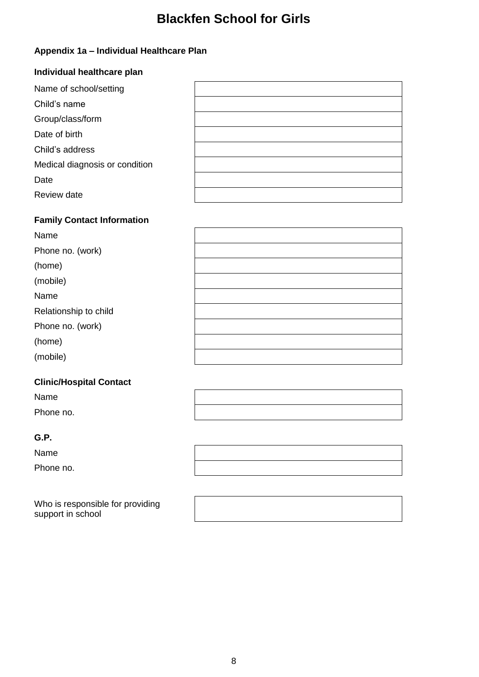### **Appendix 1a – Individual Healthcare Plan**

| Individual healthcare plan     |  |
|--------------------------------|--|
| Name of school/setting         |  |
| Child's name                   |  |
| Group/class/form               |  |
| Date of birth                  |  |
| Child's address                |  |
| Medical diagnosis or condition |  |
| Date                           |  |
| Review date                    |  |

### **Family Contact Information**

| Name                  |  |
|-----------------------|--|
| Phone no. (work)      |  |
| (home)                |  |
| (mobile)              |  |
| Name                  |  |
| Relationship to child |  |
| Phone no. (work)      |  |
| (home)                |  |
| (mobile)              |  |

### **Clinic/Hospital Contact**

Name

Phone no.

### **G.P.**

Name

Phone no.

Who is responsible for providing support in school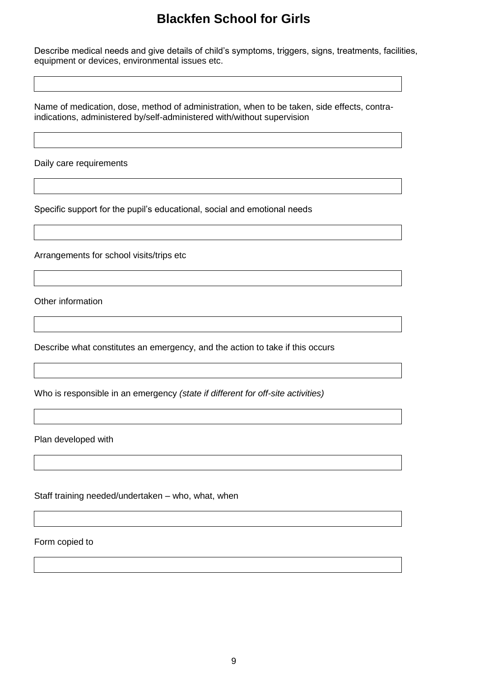Describe medical needs and give details of child's symptoms, triggers, signs, treatments, facilities, equipment or devices, environmental issues etc.

Name of medication, dose, method of administration, when to be taken, side effects, contraindications, administered by/self-administered with/without supervision

Daily care requirements

Specific support for the pupil's educational, social and emotional needs

Arrangements for school visits/trips etc

Other information

Describe what constitutes an emergency, and the action to take if this occurs

Who is responsible in an emergency *(state if different for off-site activities)*

Plan developed with

Staff training needed/undertaken – who, what, when

Form copied to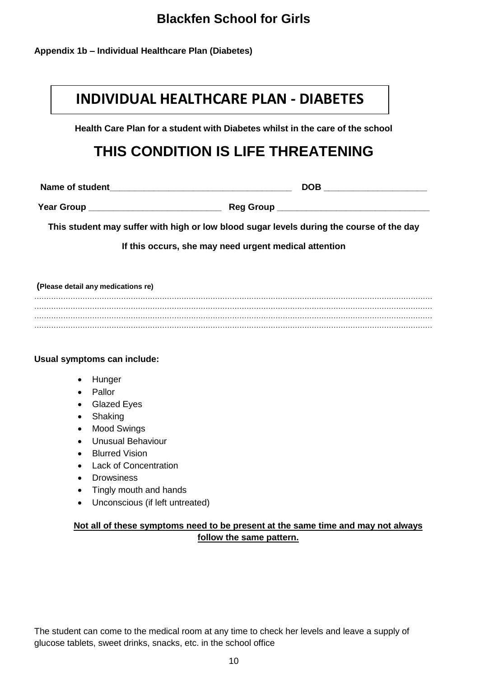#### **Appendix 1b – Individual Healthcare Plan (Diabetes)**

### **INDIVIDUAL HEALTHCARE PLAN - DIABETES**

**Health Care Plan for a student with Diabetes whilst in the care of the school**

# **THIS CONDITION IS LIFE THREATENING**

**Name of student\_\_\_\_\_\_\_\_\_\_\_\_\_\_\_\_\_\_\_\_\_\_\_\_\_\_\_\_\_\_\_\_\_\_\_\_\_ DOB \_\_\_\_\_\_\_\_\_\_\_\_\_\_\_\_\_\_\_\_\_**

**Year Group \_\_\_\_\_\_\_\_\_\_\_\_\_\_\_\_\_\_\_\_\_\_\_\_\_\_\_ Reg Group \_\_\_\_\_\_\_\_\_\_\_\_\_\_\_\_\_\_\_\_\_\_\_\_\_\_\_\_\_\_\_**

**This student may suffer with high or low blood sugar levels during the course of the day**

**If this occurs, she may need urgent medical attention** 

| (Please detail any medications re) |  |  |
|------------------------------------|--|--|
|                                    |  |  |
|                                    |  |  |
|                                    |  |  |
|                                    |  |  |

#### **Usual symptoms can include:**

- Hunger
- Pallor
- Glazed Eyes
- Shaking
- Mood Swings
- Unusual Behaviour
- Blurred Vision
- Lack of Concentration
- Drowsiness
- Tingly mouth and hands
- Unconscious (if left untreated)

### **Not all of these symptoms need to be present at the same time and may not always follow the same pattern.**

The student can come to the medical room at any time to check her levels and leave a supply of glucose tablets, sweet drinks, snacks, etc. in the school office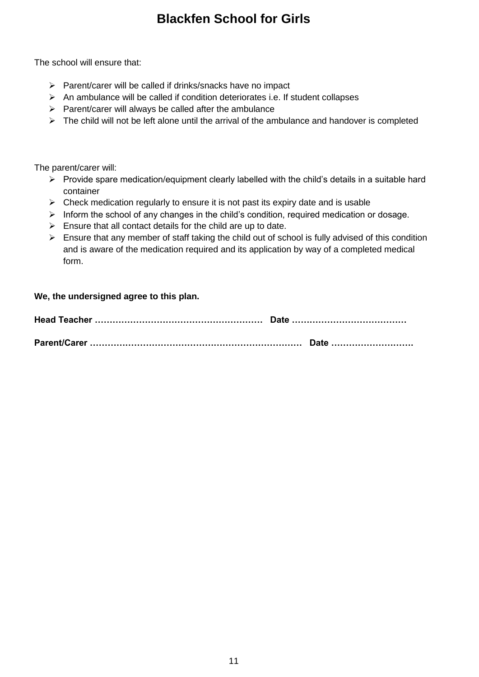The school will ensure that:

- $\triangleright$  Parent/carer will be called if drinks/snacks have no impact
- $\triangleright$  An ambulance will be called if condition deteriorates i.e. If student collapses
- $\triangleright$  Parent/carer will always be called after the ambulance
- $\triangleright$  The child will not be left alone until the arrival of the ambulance and handover is completed

The parent/carer will:

- $\triangleright$  Provide spare medication/equipment clearly labelled with the child's details in a suitable hard container
- $\triangleright$  Check medication regularly to ensure it is not past its expiry date and is usable
- $\triangleright$  Inform the school of any changes in the child's condition, required medication or dosage.
- $\triangleright$  Ensure that all contact details for the child are up to date.
- $\triangleright$  Ensure that any member of staff taking the child out of school is fully advised of this condition and is aware of the medication required and its application by way of a completed medical form.

**We, the undersigned agree to this plan.**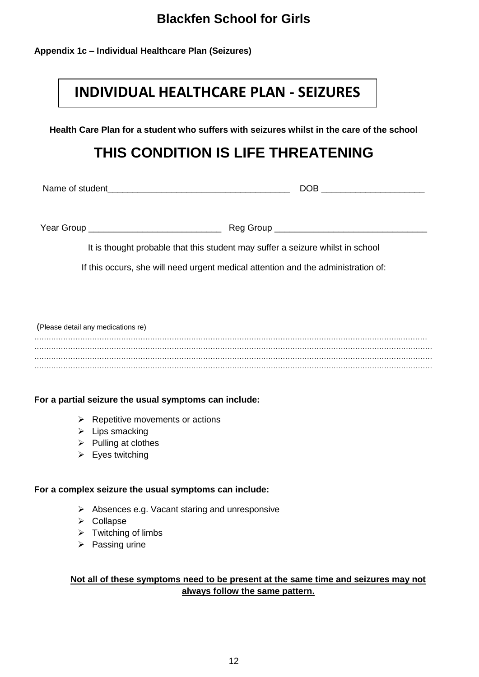### **Appendix 1c – Individual Healthcare Plan (Seizures)**

# **INDIVIDUAL HEALTHCARE PLAN - SEIZURES**

**Health Care Plan for a student who suffers with seizures whilst in the care of the school**

# **THIS CONDITION IS LIFE THREATENING**

Name of student\_\_\_\_\_\_\_\_\_\_\_\_\_\_\_\_\_\_\_\_\_\_\_\_\_\_\_\_\_\_\_\_\_\_\_\_\_ DOB \_\_\_\_\_\_\_\_\_\_\_\_\_\_\_\_\_\_\_\_\_

| Year c<br>$-1$<br>$-$ | -- |
|-----------------------|----|
|                       |    |

It is thought probable that this student may suffer a seizure whilst in school

If this occurs, she will need urgent medical attention and the administration of:

(Please detail any medications re)

#### **For a partial seizure the usual symptoms can include:**

- $\triangleright$  Repetitive movements or actions
- $\triangleright$  Lips smacking
- $\triangleright$  Pulling at clothes
- $\triangleright$  Eyes twitching

### **For a complex seizure the usual symptoms can include:**

- $\triangleright$  Absences e.g. Vacant staring and unresponsive
- Collapse
- $\triangleright$  Twitching of limbs
- $\triangleright$  Passing urine

### **Not all of these symptoms need to be present at the same time and seizures may not always follow the same pattern.**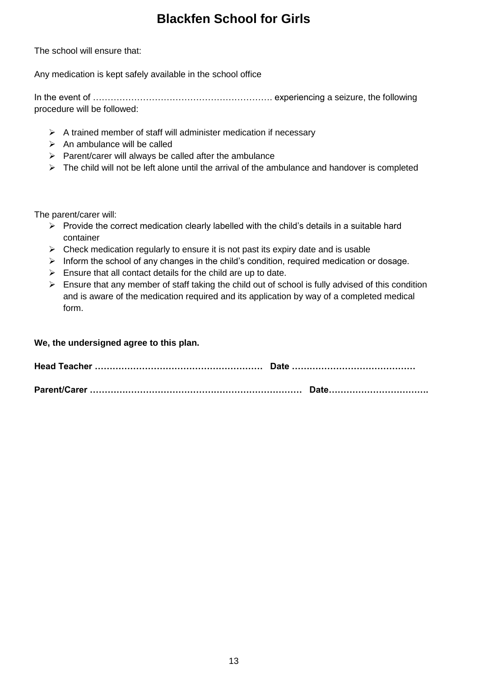The school will ensure that:

Any medication is kept safely available in the school office

In the event of ……………………………………………………. experiencing a seizure, the following procedure will be followed:

- $\triangleright$  A trained member of staff will administer medication if necessary
- $\triangleright$  An ambulance will be called
- $\triangleright$  Parent/carer will always be called after the ambulance
- $\triangleright$  The child will not be left alone until the arrival of the ambulance and handover is completed

The parent/carer will:

- $\triangleright$  Provide the correct medication clearly labelled with the child's details in a suitable hard container
- $\triangleright$  Check medication regularly to ensure it is not past its expiry date and is usable
- $\triangleright$  Inform the school of any changes in the child's condition, required medication or dosage.
- $\triangleright$  Ensure that all contact details for the child are up to date.
- $\triangleright$  Ensure that any member of staff taking the child out of school is fully advised of this condition and is aware of the medication required and its application by way of a completed medical form.

#### **We, the undersigned agree to this plan.**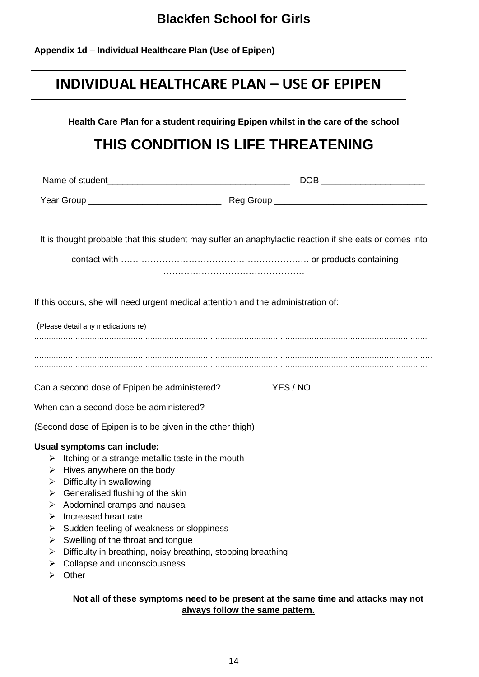### **Appendix 1d – Individual Healthcare Plan (Use of Epipen)**

# **INDIVIDUAL HEALTHCARE PLAN – USE OF EPIPEN**

**Health Care Plan for a student requiring Epipen whilst in the care of the school**

# **THIS CONDITION IS LIFE THREATENING**

|                                                                                                                                                                                                                                                                                                                                                                                                                                                                                                                                                                                                            | Name of student <b>Name of Student Name of Student 1.1 Contract 1.1 Contract 2.1 Contract 2.1 Contract 2.1 Contract 2.1 Contract 2.1 Contract 2.1 Contract 2.1 Contract 2.1 Contract 2.1 Contract 2.1 Contract 2.1 Contract 2.</b> |
|------------------------------------------------------------------------------------------------------------------------------------------------------------------------------------------------------------------------------------------------------------------------------------------------------------------------------------------------------------------------------------------------------------------------------------------------------------------------------------------------------------------------------------------------------------------------------------------------------------|------------------------------------------------------------------------------------------------------------------------------------------------------------------------------------------------------------------------------------|
|                                                                                                                                                                                                                                                                                                                                                                                                                                                                                                                                                                                                            |                                                                                                                                                                                                                                    |
|                                                                                                                                                                                                                                                                                                                                                                                                                                                                                                                                                                                                            | It is thought probable that this student may suffer an anaphylactic reaction if she eats or comes into                                                                                                                             |
| If this occurs, she will need urgent medical attention and the administration of:                                                                                                                                                                                                                                                                                                                                                                                                                                                                                                                          |                                                                                                                                                                                                                                    |
| (Please detail any medications re)                                                                                                                                                                                                                                                                                                                                                                                                                                                                                                                                                                         |                                                                                                                                                                                                                                    |
| Can a second dose of Epipen be administered?<br>When can a second dose be administered?<br>(Second dose of Epipen is to be given in the other thigh)                                                                                                                                                                                                                                                                                                                                                                                                                                                       | YES / NO                                                                                                                                                                                                                           |
| Usual symptoms can include:<br>$\triangleright$ Itching or a strange metallic taste in the mouth<br>$\triangleright$ Hives anywhere on the body<br>$\triangleright$ Difficulty in swallowing<br>$\triangleright$ Generalised flushing of the skin<br>$\triangleright$ Abdominal cramps and nausea<br>$\triangleright$ Increased heart rate<br>$\triangleright$ Sudden feeling of weakness or sloppiness<br>$\triangleright$ Swelling of the throat and tongue<br>> Difficulty in breathing, noisy breathing, stopping breathing<br>$\triangleright$ Collapse and unconsciousness<br>$\triangleright$ Other |                                                                                                                                                                                                                                    |

### **Not all of these symptoms need to be present at the same time and attacks may not always follow the same pattern.**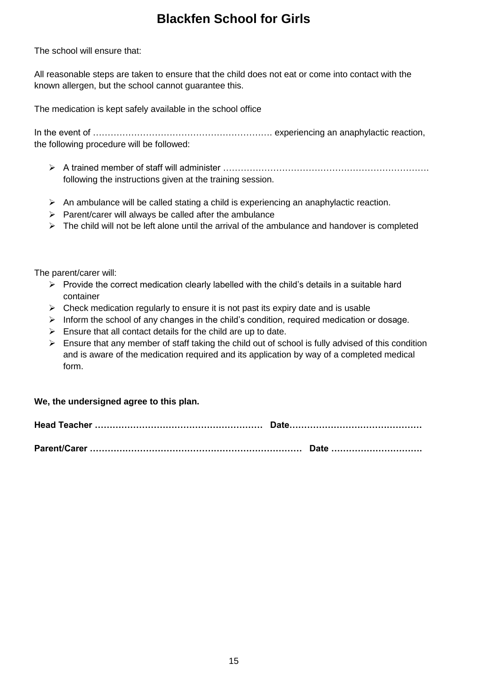The school will ensure that:

All reasonable steps are taken to ensure that the child does not eat or come into contact with the known allergen, but the school cannot guarantee this.

The medication is kept safely available in the school office

In the event of ……………………………………………………. experiencing an anaphylactic reaction, the following procedure will be followed:

- A trained member of staff will administer ……………………………………………………………. following the instructions given at the training session.
- $\triangleright$  An ambulance will be called stating a child is experiencing an anaphylactic reaction.
- $\triangleright$  Parent/carer will always be called after the ambulance
- $\triangleright$  The child will not be left alone until the arrival of the ambulance and handover is completed

The parent/carer will:

- $\triangleright$  Provide the correct medication clearly labelled with the child's details in a suitable hard container
- $\triangleright$  Check medication regularly to ensure it is not past its expiry date and is usable
- $\triangleright$  Inform the school of any changes in the child's condition, required medication or dosage.
- $\triangleright$  Ensure that all contact details for the child are up to date.
- $\triangleright$  Ensure that any member of staff taking the child out of school is fully advised of this condition and is aware of the medication required and its application by way of a completed medical form.

**We, the undersigned agree to this plan.**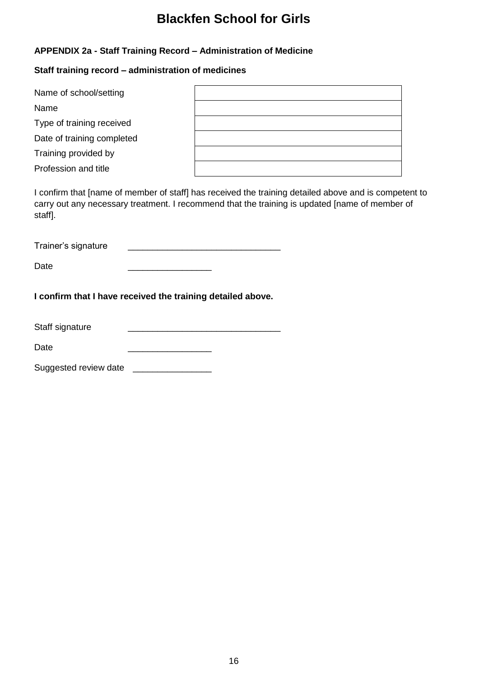### **APPENDIX 2a - Staff Training Record – Administration of Medicine**

### **Staff training record – administration of medicines**

| Name of school/setting     |  |
|----------------------------|--|
| Name                       |  |
| Type of training received  |  |
| Date of training completed |  |
|                            |  |
| Training provided by       |  |
| Profession and title       |  |

I confirm that [name of member of staff] has received the training detailed above and is competent to carry out any necessary treatment. I recommend that the training is updated [name of member of staff].

Trainer's signature \_\_\_\_\_\_\_\_\_\_\_\_\_\_\_\_\_\_\_\_\_\_\_\_\_\_\_\_\_\_\_

Date \_\_\_\_\_\_\_\_\_\_\_\_\_\_\_\_\_

**I confirm that I have received the training detailed above.**

Staff signature

Date \_\_\_\_\_\_\_\_\_\_\_\_\_\_\_\_\_

| Suggested review date |  |
|-----------------------|--|
|                       |  |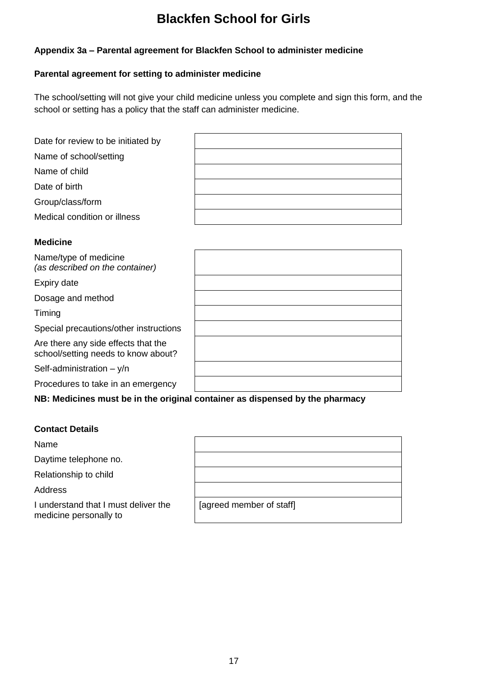### **Appendix 3a – Parental agreement for Blackfen School to administer medicine**

### **Parental agreement for setting to administer medicine**

The school/setting will not give your child medicine unless you complete and sign this form, and the school or setting has a policy that the staff can administer medicine.

Date for review to be initiated by

Name of school/setting

Name of child

Date of birth

Group/class/form

Medical condition or illness

### **Medicine**

| Name/type of medicine           |
|---------------------------------|
| (as described on the container) |

Expiry date

Dosage and method

Timing

Special precautions/other instructions

Are there any side effects that the school/setting needs to know about?

Self-administration – y/n

Procedures to take in an emergency

**NB: Medicines must be in the original container as dispensed by the pharmacy**

### **Contact Details**

Name

Daytime telephone no.

Relationship to child

Address

I understand that I must deliver the medicine personally to

| [agreed member of staff] |  |
|--------------------------|--|